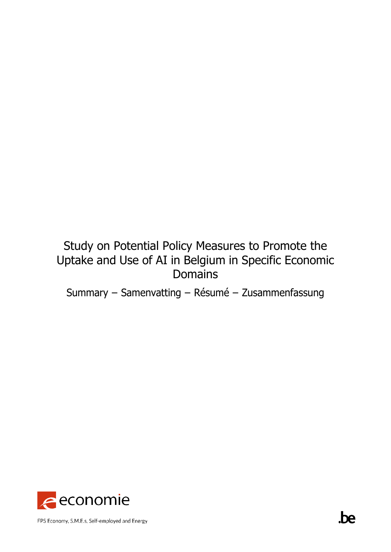# Study on Potential Policy Measures to Promote the Uptake and Use of AI in Belgium in Specific Economic Domains

Summary – Samenvatting – Résumé – Zusammenfassung



FPS Economy, S.M.E.s, Self-employed and Energy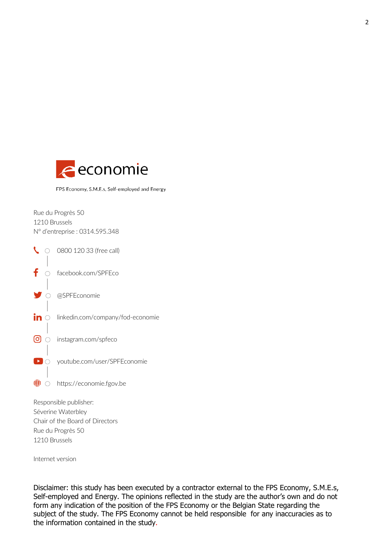

FPS Economy, S.M.E.s, Self-employed and Energy

Rue du Progrès 50 1210 Brussels N° d'entreprise : 0314.595.348



Responsible publisher: Séverine Waterbley Chair of the Board of Directors Rue du Progrès 50 1210 Brussels

Internet version

Disclaimer: this study has been executed by a contractor external to the FPS Economy, S.M.E.s, Self-employed and Energy. The opinions reflected in the study are the author's own and do not form any indication of the position of the FPS Economy or the Belgian State regarding the subject of the study. The FPS Economy cannot be held responsible for any inaccuracies as to the information contained in the study.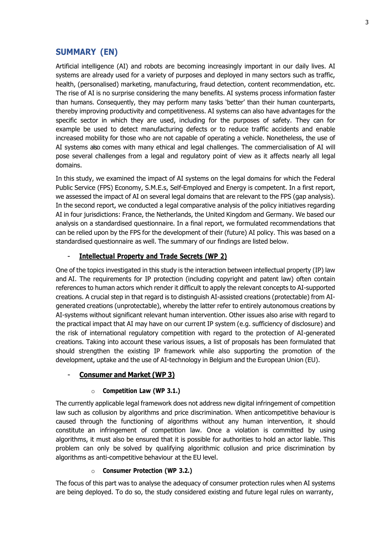# **SUMMARY (EN)**

Artificial intelligence (AI) and robots are becoming increasingly important in our daily lives. AI systems are already used for a variety of purposes and deployed in many sectors such as traffic, health, (personalised) marketing, manufacturing, fraud detection, content recommendation, etc. The rise of AI is no surprise considering the many benefits. AI systems process information faster than humans. Consequently, they may perform many tasks 'better' than their human counterparts, thereby improving productivity and competitiveness. AI systems can also have advantages for the specific sector in which they are used, including for the purposes of safety. They can for example be used to detect manufacturing defects or to reduce traffic accidents and enable increased mobility for those who are not capable of operating a vehicle. Nonetheless, the use of AI systems also comes with many ethical and legal challenges. The commercialisation of AI will pose several challenges from a legal and regulatory point of view as it affects nearly all legal domains.

In this study, we examined the impact of AI systems on the legal domains for which the Federal Public Service (FPS) Economy, S.M.E.s, Self-Employed and Energy is competent. In a first report, we assessed the impact of AI on several legal domains that are relevant to the FPS (gap analysis). In the second report, we conducted a legal comparative analysis of the policy initiatives regarding AI in four jurisdictions: France, the Netherlands, the United Kingdom and Germany. We based our analysis on a standardised questionnaire. In a final report, we formulated recommendations that can be relied upon by the FPS for the development of their (future) AI policy. This was based on a standardised questionnaire as well. The summary of our findings are listed below.

#### - **Intellectual Property and Trade Secrets (WP 2)**

One of the topics investigated in this study is the interaction between intellectual property (IP) law and AI. The requirements for IP protection (including copyright and patent law) often contain references to human actors which render it difficult to apply the relevant concepts to AI-supported creations. A crucial step in that regard is to distinguish AI-assisted creations (protectable) from AIgenerated creations (unprotectable), whereby the latter refer to entirely autonomous creations by AI-systems without significant relevant human intervention. Other issues also arise with regard to the practical impact that AI may have on our current IP system (e.g. sufficiency of disclosure) and the risk of international regulatory competition with regard to the protection of AI-generated creations. Taking into account these various issues, a list of proposals has been formulated that should strengthen the existing IP framework while also supporting the promotion of the development, uptake and the use of AI-technology in Belgium and the European Union (EU).

#### - **Consumer and Market (WP 3)**

#### o **Competition Law (WP 3.1.)**

The currently applicable legal framework does not address new digital infringement of competition law such as collusion by algorithms and price discrimination. When anticompetitive behaviour is caused through the functioning of algorithms without any human intervention, it should constitute an infringement of competition law. Once a violation is committed by using algorithms, it must also be ensured that it is possible for authorities to hold an actor liable. This problem can only be solved by qualifying algorithmic collusion and price discrimination by algorithms as anti-competitive behaviour at the EU level.

#### o **Consumer Protection (WP 3.2.)**

The focus of this part was to analyse the adequacy of consumer protection rules when AI systems are being deployed. To do so, the study considered existing and future legal rules on warranty,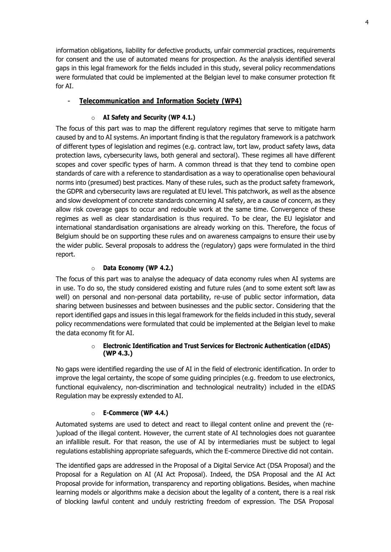information obligations, liability for defective products, unfair commercial practices, requirements for consent and the use of automated means for prospection. As the analysis identified several gaps in this legal framework for the fields included in this study, several policy recommendations were formulated that could be implemented at the Belgian level to make consumer protection fit for AI.

# - **Telecommunication and Information Society (WP4)**

# o **AI Safety and Security (WP 4.1.)**

The focus of this part was to map the different regulatory regimes that serve to mitigate harm caused by and to AI systems. An important finding is that the regulatory framework is a patchwork of different types of legislation and regimes (e.g. contract law, tort law, product safety laws, data protection laws, cybersecurity laws, both general and sectoral). These regimes all have different scopes and cover specific types of harm. A common thread is that they tend to combine open standards of care with a reference to standardisation as a way to operationalise open behavioural norms into (presumed) best practices. Many of these rules, such as the product safety framework, the GDPR and cybersecurity laws are regulated at EU level. This patchwork, as well as the absence and slow development of concrete standards concerning AI safety, are a cause of concern, as they allow risk coverage gaps to occur and redouble work at the same time. Convergence of these regimes as well as clear standardisation is thus required. To be clear, the EU legislator and international standardisation organisations are already working on this. Therefore, the focus of Belgium should be on supporting these rules and on awareness campaigns to ensure their use by the wider public. Several proposals to address the (regulatory) gaps were formulated in the third report.

#### o **Data Economy (WP 4.2.)**

The focus of this part was to analyse the adequacy of data economy rules when AI systems are in use. To do so, the study considered existing and future rules (and to some extent soft law as well) on personal and non-personal data portability, re-use of public sector information, data sharing between businesses and between businesses and the public sector. Considering that the report identified gaps and issues in this legal framework for the fields included in this study, several policy recommendations were formulated that could be implemented at the Belgian level to make the data economy fit for AI.

#### o **Electronic Identification and Trust Services for Electronic Authentication (eIDAS) (WP 4.3.)**

No gaps were identified regarding the use of AI in the field of electronic identification. In order to improve the legal certainty, the scope of some guiding principles (e.g. freedom to use electronics, functional equivalency, non-discrimination and technological neutrality) included in the eIDAS Regulation may be expressly extended to AI.

#### o **E-Commerce (WP 4.4.)**

Automated systems are used to detect and react to illegal content online and prevent the (re- )upload of the illegal content. However, the current state of AI technologies does not guarantee an infallible result. For that reason, the use of AI by intermediaries must be subject to legal regulations establishing appropriate safeguards, which the E-commerce Directive did not contain.

The identified gaps are addressed in the Proposal of a Digital Service Act (DSA Proposal) and the Proposal for a Regulation on AI (AI Act Proposal). Indeed, the DSA Proposal and the AI Act Proposal provide for information, transparency and reporting obligations. Besides, when machine learning models or algorithms make a decision about the legality of a content, there is a real risk of blocking lawful content and unduly restricting freedom of expression. The DSA Proposal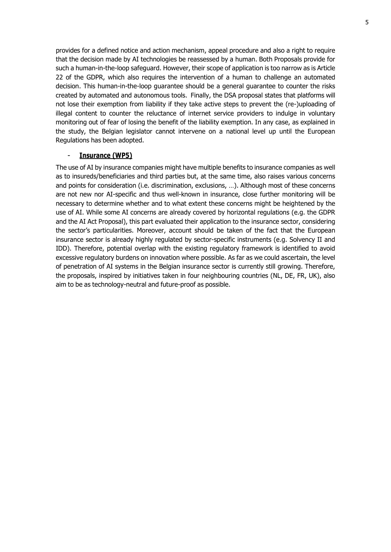provides for a defined notice and action mechanism, appeal procedure and also a right to require that the decision made by AI technologies be reassessed by a human. Both Proposals provide for such a human-in-the-loop safeguard. However, their scope of application is too narrow as is Article 22 of the GDPR, which also requires the intervention of a human to challenge an automated decision. This human-in-the-loop guarantee should be a general guarantee to counter the risks created by automated and autonomous tools. Finally, the DSA proposal states that platforms will not lose their exemption from liability if they take active steps to prevent the (re-)uploading of illegal content to counter the reluctance of internet service providers to indulge in voluntary monitoring out of fear of losing the benefit of the liability exemption. In any case, as explained in the study, the Belgian legislator cannot intervene on a national level up until the European Regulations has been adopted.

#### - **Insurance (WP5)**

The use of AI by insurance companies might have multiple benefits to insurance companies as well as to insureds/beneficiaries and third parties but, at the same time, also raises various concerns and points for consideration (i.e. discrimination, exclusions, …). Although most of these concerns are not new nor AI-specific and thus well-known in insurance, close further monitoring will be necessary to determine whether and to what extent these concerns might be heightened by the use of AI. While some AI concerns are already covered by horizontal regulations (e.g. the GDPR and the AI Act Proposal), this part evaluated their application to the insurance sector, considering the sector's particularities. Moreover, account should be taken of the fact that the European insurance sector is already highly regulated by sector-specific instruments (e.g. Solvency II and IDD). Therefore, potential overlap with the existing regulatory framework is identified to avoid excessive regulatory burdens on innovation where possible. As far as we could ascertain, the level of penetration of AI systems in the Belgian insurance sector is currently still growing. Therefore, the proposals, inspired by initiatives taken in four neighbouring countries (NL, DE, FR, UK), also aim to be as technology-neutral and future-proof as possible.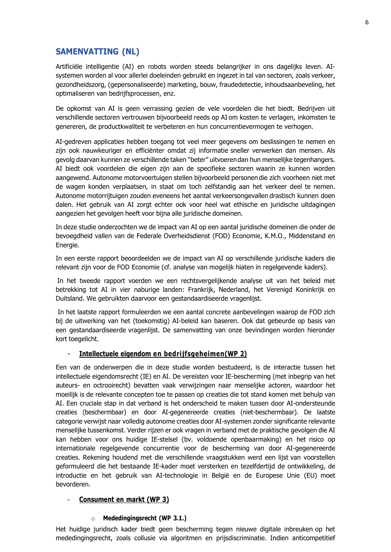# **SAMENVATTING (NL)**

Artificiële intelligentie (AI) en robots worden steeds belangrijker in ons dagelijks leven. AIsystemen worden al voor allerlei doeleinden gebruikt en ingezet in tal van sectoren, zoals verkeer, gezondheidszorg, (gepersonaliseerde) marketing, bouw, fraudedetectie, inhoudsaanbeveling, het optimaliseren van bedrijfsprocessen, enz.

De opkomst van AI is geen verrassing gezien de vele voordelen die het biedt. Bedrijven uit verschillende sectoren vertrouwen bijvoorbeeld reeds op AI om kosten te verlagen, inkomsten te genereren, de productkwaliteit te verbeteren en hun concurrentievermogen te verhogen.

AI-gedreven applicaties hebben toegang tot veel meer gegevens om beslissingen te nemen en zijn ook nauwkeuriger en efficiënter omdat zij informatie sneller verwerken dan mensen. Als gevolg daarvan kunnen ze verschillende taken "beter" uitvoerendan hun menselijke tegenhangers. AI biedt ook voordelen die eigen zijn aan de specifieke sectoren waarin ze kunnen worden aangewend. Autonome motorvoertuigen stellen bijvoorbeeld personen die zich voorheen niet met de wagen konden verplaatsen, in staat om toch zelfstandig aan het verkeer deel te nemen. Autonome motorrijtuigen zouden eveneens het aantal verkeersongevallen drastisch kunnen doen dalen. Het gebruik van AI zorgt echter ook voor heel wat ethische en juridische uitdagingen aangezien het gevolgen heeft voor bijna alle juridische domeinen.

In deze studie onderzochten we de impact van AI op een aantal juridische domeinen die onder de bevoegdheid vallen van de Federale Overheidsdienst (FOD) Economie, K.M.O., Middenstand en Energie.

In een eerste rapport beoordeelden we de impact van AI op verschillende juridische kaders die relevant zijn voor de FOD Economie (cf. analyse van mogelijk hiaten in regelgevende kaders).

 In het tweede rapport voerden we een rechtsvergelijkende analyse uit van het beleid met betrekking tot AI in vier naburige landen: Frankrijk, Nederland, het Verenigd Koninkrijk en Duitsland. We gebruikten daarvoor een gestandaardiseerde vragenlijst.

In het laatste rapport formuleerden we een aantal concrete aanbevelingen waarop de FOD zich bij de uitwerking van het (toekomstig) AI-beleid kan baseren. Ook dat gebeurde op basis van een gestandaardiseerde vragenlijst. De samenvatting van onze bevindingen worden hieronder kort toegelicht.

#### - **Intellectuele eigendom en bedrijfsgeheimen(WP 2)**

Een van de onderwerpen die in deze studie worden bestudeerd, is de interactie tussen het intellectuele eigendomsrecht (IE) en AI. De vereisten voor IE-bescherming (met inbegrip van het auteurs- en octrooirecht) bevatten vaak verwijzingen naar menselijke actoren, waardoor het moeilijk is de relevante concepten toe te passen op creaties die tot stand komen met behulp van AI. Een cruciale stap in dat verband is het onderscheid te maken tussen door AI-ondersteunde creaties (beschermbaar) en door AI-gegenereerde creaties (niet-beschermbaar). De laatste categorie verwijst naar volledig autonome creaties door AI-systemen zonder significante relevante menselijke tussenkomst. Verder rijzen er ook vragen in verband met de praktische gevolgen die AI kan hebben voor ons huidige IE-stelsel (bv. voldoende openbaarmaking) en het risico op internationale regelgevende concurrentie voor de bescherming van door AI-gegenereerde creaties. Rekening houdend met die verschillende vraagstukken werd een lijst van voorstellen geformuleerd die het bestaande IE-kader moet versterken en tezelfdertijd de ontwikkeling, de introductie en het gebruik van AI-technologie in België en de Europese Unie (EU) moet bevorderen.

#### - **Consument en markt (WP 3)**

#### o **Mededingingsrecht (WP 3.1.)**

Het huidige juridisch kader biedt geen bescherming tegen nieuwe digitale inbreuken op het mededingingsrecht, zoals collusie via algoritmen en prijsdiscriminatie. Indien anticompetitief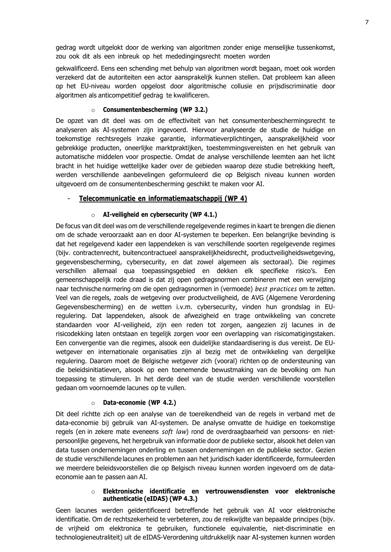gedrag wordt uitgelokt door de werking van algoritmen zonder enige menselijke tussenkomst, zou ook dit als een inbreuk op het mededingingsrecht moeten worden

gekwalificeerd. Eens een schending met behulp van algoritmen wordt begaan, moet ook worden verzekerd dat de autoriteiten een actor aansprakelijk kunnen stellen. Dat probleem kan alleen op het EU-niveau worden opgelost door algoritmische collusie en prijsdiscriminatie door algoritmen als anticompetitief gedrag te kwalificeren.

#### o **Consumentenbescherming (WP 3.2.)**

De opzet van dit deel was om de effectiviteit van het consumentenbeschermingsrecht te analyseren als AI-systemen zijn ingevoerd. Hiervoor analyseerde de studie de huidige en toekomstige rechtsregels inzake garantie, informatieverplichtingen, aansprakelijkheid voor gebrekkige producten, oneerlijke marktpraktijken, toestemmingsvereisten en het gebruik van automatische middelen voor prospectie. Omdat de analyse verschillende leemten aan het licht bracht in het huidige wettelijke kader over de gebieden waarop deze studie betrekking heeft, werden verschillende aanbevelingen geformuleerd die op Belgisch niveau kunnen worden uitgevoerd om de consumentenbescherming geschikt te maken voor AI.

#### - **Telecommunicatie en informatiemaatschappij (WP 4)**

#### o **AI-veiligheid en cybersecurity (WP 4.1.)**

De focus van dit deel was om de verschillende regelgevende regimes in kaart te brengen die dienen om de schade veroorzaakt aan en door AI-systemen te beperken. Een belangrijke bevinding is dat het regelgevend kader een lappendeken is van verschillende soorten regelgevende regimes (bijv. contractenrecht, buitencontractueel aansprakelijkheidsrecht, productveiligheidswetgeving, gegevensbescherming, cybersecurity, en dat zowel algemeen als sectoraal). Die regimes verschillen allemaal qua toepassingsgebied en dekken elk specifieke risico's. Een gemeenschappelijk rode draad is dat zij open gedragsnormen combineren met een verwijzing naar technische normering om die open gedragsnormen in (vermoede) *best practices* om te zetten. Veel van die regels, zoals de wetgeving over productveiligheid, de AVG (Algemene Verordening Gegevensbescherming) en de wetten i.v.m. cybersecurity, vinden hun grondslag in EUregulering. Dat lappendeken, alsook de afwezigheid en trage ontwikkeling van concrete standaarden voor AI-veiligheid, zijn een reden tot zorgen, aangezien zij lacunes in de risicodekking laten ontstaan en tegelijk zorgen voor een overlapping van risicomatigingstaken. Een convergentie van die regimes, alsook een duidelijke standaardisering is dus vereist. De EUwetgever en internationale organisaties zijn al bezig met de ontwikkeling van dergelijke regulering. Daarom moet de Belgische wetgever zich (vooral) richten op de ondersteuning van die beleidsinitiatieven, alsook op een toenemende bewustmaking van de bevolking om hun toepassing te stimuleren. In het derde deel van de studie werden verschillende voorstellen gedaan om voornoemde lacunes op te vullen.

#### o **Data-economie (WP 4.2.)**

Dit deel richtte zich op een analyse van de toereikendheid van de regels in verband met de data-economie bij gebruik van AI-systemen. De analyse omvatte de huidige en toekomstige regels (en in zekere mate eveneens *soft law*) rond de overdraagbaarheid van persoons- en nietpersoonlijke gegevens, het hergebruik van informatie door de publieke sector, alsook het delen van data tussen ondernemingen onderling en tussen ondernemingen en de publieke sector. Gezien de studie verschillende lacunes en problemen aan het juridisch kader identificeerde, formuleerden we meerdere beleidsvoorstellen die op Belgisch niveau kunnen worden ingevoerd om de dataeconomie aan te passen aan AI.

#### o **Elektronische identificatie en vertrouwensdiensten voor elektronische authenticatie (eIDAS) (WP 4.3.)**

Geen lacunes werden geïdentificeerd betreffende het gebruik van AI voor elektronische identificatie. Om de rechtszekerheid te verbeteren, zou de reikwijdte van bepaalde principes (bijv. de vrijheid om elektronica te gebruiken, functionele equivalentie, niet-discriminatie en technologieneutraliteit) uit de eIDAS-Verordening uitdrukkelijk naar AI-systemen kunnen worden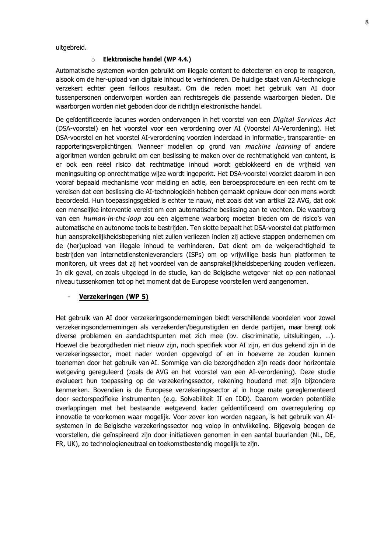uitgebreid.

#### o **Elektronische handel (WP 4.4.)**

Automatische systemen worden gebruikt om illegale content te detecteren en erop te reageren, alsook om de her-upload van digitale inhoud te verhinderen. De huidige staat van AI-technologie verzekert echter geen feilloos resultaat. Om die reden moet het gebruik van AI door tussenpersonen onderworpen worden aan rechtsregels die passende waarborgen bieden. Die waarborgen worden niet geboden door de richtlijn elektronische handel.

De geïdentificeerde lacunes worden ondervangen in het voorstel van een *Digital Services Act* (DSA-voorstel) en het voorstel voor een verordening over AI (Voorstel AI-Verordening). Het DSA-voorstel en het voorstel AI-verordening voorzien inderdaad in informatie-, transparantie- en rapporteringsverplichtingen. Wanneer modellen op grond van *machine learning* of andere algoritmen worden gebruikt om een beslissing te maken over de rechtmatigheid van content, is er ook een reëel risico dat rechtmatige inhoud wordt geblokkeerd en de vrijheid van meningsuiting op onrechtmatige wijze wordt ingeperkt. Het DSA-voorstel voorziet daarom in een vooraf bepaald mechanisme voor melding en actie, een beroepsprocedure en een recht om te vereisen dat een beslissing die AI-technologieën hebben gemaakt opnieuw door een mens wordt beoordeeld. Hun toepassingsgebied is echter te nauw, net zoals dat van artikel 22 AVG, dat ook een menselijke interventie vereist om een automatische beslissing aan te vechten. Die waarborg van een *human-in-the-loop* zou een algemene waarborg moeten bieden om de risico's van automatische en autonome tools te bestrijden. Ten slotte bepaalt het DSA-voorstel dat platformen hun aansprakelijkheidsbeperking niet zullen verliezen indien zij actieve stappen ondernemen om de (her)upload van illegale inhoud te verhinderen. Dat dient om de weigerachtigheid te bestrijden van internetdienstenleveranciers (ISPs) om op vrijwillige basis hun platformen te monitoren, uit vrees dat zij het voordeel van de aansprakelijkheidsbeperking zouden verliezen. In elk geval, en zoals uitgelegd in de studie, kan de Belgische wetgever niet op een nationaal niveau tussenkomen tot op het moment dat de Europese voorstellen werd aangenomen.

#### - **Verzekeringen (WP 5)**

Het gebruik van AI door verzekeringsondernemingen biedt verschillende voordelen voor zowel verzekeringsondernemingen als verzekerden/begunstigden en derde partijen, maar brengt ook diverse problemen en aandachtspunten met zich mee (bv. discriminatie, uitsluitingen, …). Hoewel die bezorgdheden niet nieuw zijn, noch specifiek voor AI zijn, en dus gekend zijn in de verzekeringssector, moet nader worden opgevolgd of en in hoeverre ze zouden kunnen toenemen door het gebruik van AI. Sommige van die bezorgdheden zijn reeds door horizontale wetgeving gereguleerd (zoals de AVG en het voorstel van een AI-verordening). Deze studie evalueert hun toepassing op de verzekeringssector, rekening houdend met zijn bijzondere kenmerken. Bovendien is de Europese verzekeringssector al in hoge mate gereglementeerd door sectorspecifieke instrumenten (e.g. Solvabiliteit II en IDD). Daarom worden potentiële overlappingen met het bestaande wetgevend kader geïdentificeerd om overregulering op innovatie te voorkomen waar mogelijk. Voor zover kon worden nagaan, is het gebruik van AIsystemen in de Belgische verzekeringssector nog volop in ontwikkeling. Bijgevolg beogen de voorstellen, die geïnspireerd zijn door initiatieven genomen in een aantal buurlanden (NL, DE, FR, UK), zo technologieneutraal en toekomstbestendig mogelijk te zijn.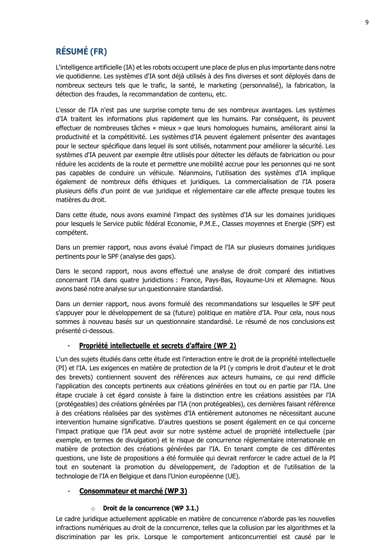# **RÉSUMÉ (FR)**

L'intelligence artificielle (IA) et les robots occupent une place de plus en plus importante dans notre vie quotidienne. Les systèmes d'IA sont déjà utilisés à des fins diverses et sont déployés dans de nombreux secteurs tels que le trafic, la santé, le marketing (personnalisé), la fabrication, la détection des fraudes, la recommandation de contenu, etc.

L'essor de l'IA n'est pas une surprise compte tenu de ses nombreux avantages. Les systèmes d'IA traitent les informations plus rapidement que les humains. Par conséquent, ils peuvent effectuer de nombreuses tâches « mieux » que leurs homologues humains, améliorant ainsi la productivité et la compétitivité. Les systèmes d'IA peuvent également présenter des avantages pour le secteur spécifique dans lequel ils sont utilisés, notamment pour améliorer la sécurité. Les systèmes d'IA peuvent par exemple être utilisés pour détecter les défauts de fabrication ou pour réduire les accidents de la route et permettre une mobilité accrue pour les personnes qui ne sont pas capables de conduire un véhicule. Néanmoins, l'utilisation des systèmes d'IA implique également de nombreux défis éthiques et juridiques. La commercialisation de l'IA posera plusieurs défis d'un point de vue juridique et réglementaire car elle affecte presque toutes les matières du droit.

Dans cette étude, nous avons examiné l'impact des systèmes d'IA sur les domaines juridiques pour lesquels le Service public fédéral Economie, P.M.E., Classes moyennes et Energie (SPF) est compétent.

Dans un premier rapport, nous avons évalué l'impact de l'IA sur plusieurs domaines juridiques pertinents pour le SPF (analyse des gaps).

Dans le second rapport, nous avons effectué une analyse de droit comparé des initiatives concernant l'IA dans quatre juridictions : France, Pays-Bas, Royaume-Uni et Allemagne. Nous avons basé notre analyse sur un questionnaire standardisé.

Dans un dernier rapport, nous avons formulé des recommandations sur lesquelles le SPF peut s'appuyer pour le développement de sa (future) politique en matière d'IA. Pour cela, nous nous sommes à nouveau basés sur un questionnaire standardisé. Le résumé de nos conclusions est présenté ci-dessous.

#### - **Propriété intellectuelle et secrets d'affaire (WP 2)**

L'un des sujets étudiés dans cette étude est l'interaction entre le droit de la propriété intellectuelle (PI) et l'IA. Les exigences en matière de protection de la PI (y compris le droit d'auteur et le droit des brevets) contiennent souvent des références aux acteurs humains, ce qui rend difficile l'application des concepts pertinents aux créations générées en tout ou en partie par l'IA. Une étape cruciale à cet égard consiste à faire la distinction entre les créations assistées par l'IA (protégeables) des créations générées par l'IA (non protégeables), ces dernières faisant référence à des créations réalisées par des systèmes d'IA entièrement autonomes ne nécessitant aucune intervention humaine significative. D'autres questions se posent également en ce qui concerne l'impact pratique que l'IA peut avoir sur notre système actuel de propriété intellectuelle (par exemple, en termes de divulgation) et le risque de concurrence réglementaire internationale en matière de protection des créations générées par l'IA. En tenant compte de ces différentes questions, une liste de propositions a été formulée qui devrait renforcer le cadre actuel de la PI tout en soutenant la promotion du développement, de l'adoption et de l'utilisation de la technologie de l'IA en Belgique et dans l'Union européenne (UE).

#### - **Consommateur et marché (WP 3)**

#### o **Droit de la concurrence (WP 3.1.)**

Le cadre juridique actuellement applicable en matière de concurrence n'aborde pas les nouvelles infractions numériques au droit de la concurrence, telles que la collusion par les algorithmes et la discrimination par les prix. Lorsque le comportement anticoncurrentiel est causé par le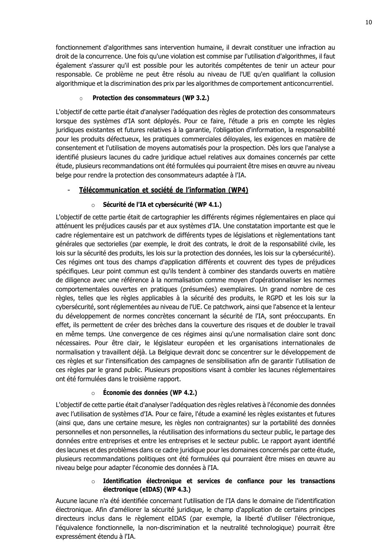fonctionnement d'algorithmes sans intervention humaine, il devrait constituer une infraction au droit de la concurrence. Une fois qu'une violation est commise par l'utilisation d'algorithmes, il faut également s'assurer qu'il est possible pour les autorités compétentes de tenir un acteur pour responsable. Ce problème ne peut être résolu au niveau de l'UE qu'en qualifiant la collusion algorithmique et la discrimination des prix par les algorithmes de comportement anticoncurrentiel.

### o **Protection des consommateurs (WP 3.2.)**

L'objectif de cette partie était d'analyser l'adéquation des règles de protection des consommateurs lorsque des systèmes d'IA sont déployés. Pour ce faire, l'étude a pris en compte les règles juridiques existantes et futures relatives à la garantie, l'obligation d'information, la responsabilité pour les produits défectueux, les pratiques commerciales déloyales, les exigences en matière de consentement et l'utilisation de moyens automatisés pour la prospection. Dès lors que l'analyse a identifié plusieurs lacunes du cadre juridique actuel relatives aux domaines concernés par cette étude, plusieurs recommandations ont été formulées qui pourraient être mises en œuvre au niveau belge pour rendre la protection des consommateurs adaptée à l'IA.

#### - **Télécommunication et société de l'information (WP4)**

#### o **Sécurité de l'IA et cybersécurité (WP 4.1.)**

L'objectif de cette partie était de cartographier les différents régimes réglementaires en place qui atténuent les préjudices causés par et aux systèmes d'IA. Une constatation importante est que le cadre réglementaire est un patchwork de différents types de législations et règlementations tant générales que sectorielles (par exemple, le droit des contrats, le droit de la responsabilité civile, les lois sur la sécurité des produits, les lois sur la protection des données, les lois sur la cybersécurité). Ces régimes ont tous des champs d'application différents et couvrent des types de préjudices spécifiques. Leur point commun est qu'ils tendent à combiner des standards ouverts en matière de diligence avec une référence à la normalisation comme moyen d'opérationnaliser les normes comportementales ouvertes en pratiques (présumées) exemplaires. Un grand nombre de ces règles, telles que les règles applicables à la sécurité des produits, le RGPD et les lois sur la cybersécurité, sont réglementées au niveau de l'UE. Ce patchwork, ainsi que l'absence et la lenteur du développement de normes concrètes concernant la sécurité de l'IA, sont préoccupants. En effet, ils permettent de créer des brèches dans la couverture des risques et de doubler le travail en même temps. Une convergence de ces régimes ainsi qu'une normalisation claire sont donc nécessaires. Pour être clair, le législateur européen et les organisations internationales de normalisation y travaillent déjà. La Belgique devrait donc se concentrer sur le développement de ces règles et sur l'intensification des campagnes de sensibilisation afin de garantir l'utilisation de ces règles par le grand public. Plusieurs propositions visant à combler les lacunes réglementaires ont été formulées dans le troisième rapport.

#### o **Économie des données (WP 4.2.)**

L'objectif de cette partie était d'analyser l'adéquation des règles relatives à l'économie des données avec l'utilisation de systèmes d'IA. Pour ce faire, l'étude a examiné les règles existantes et futures (ainsi que, dans une certaine mesure, les règles non contraignantes) sur la portabilité des données personnelles et non personnelles, la réutilisation des informations du secteur public, le partage des données entre entreprises et entre les entreprises et le secteur public. Le rapport ayant identifié des lacunes et des problèmes dans ce cadre juridique pour les domaines concernés par cette étude, plusieurs recommandations politiques ont été formulées qui pourraient être mises en œuvre au niveau belge pour adapter l'économie des données à l'IA.

#### o **Identification électronique et services de confiance pour les transactions électronique (eIDAS) (WP 4.3.)**

Aucune lacune n'a été identifiée concernant l'utilisation de l'IA dans le domaine de l'identification électronique. Afin d'améliorer la sécurité juridique, le champ d'application de certains principes directeurs inclus dans le règlement eIDAS (par exemple, la liberté d'utiliser l'électronique, l'équivalence fonctionnelle, la non-discrimination et la neutralité technologique) pourrait être expressément étendu à l'IA.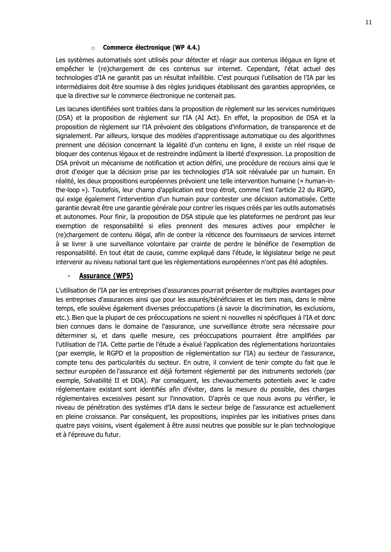#### o **Commerce électronique (WP 4.4.)**

Les systèmes automatisés sont utilisés pour détecter et réagir aux contenus illégaux en ligne et empêcher le (re)chargement de ces contenus sur internet. Cependant, l'état actuel des technologies d'IA ne garantit pas un résultat infaillible. C'est pourquoi l'utilisation de l'IA par les intermédiaires doit être soumise à des règles juridiques établissant des garanties appropriées, ce que la directive sur le commerce électronique ne contenait pas.

Les lacunes identifiées sont traitées dans la proposition de règlement sur les services numériques (DSA) et la proposition de règlement sur l'IA (AI Act). En effet, la proposition de DSA et la proposition de règlement sur l'IA prévoient des obligations d'information, de transparence et de signalement. Par ailleurs, lorsque des modèles d'apprentissage automatique ou des algorithmes prennent une décision concernant la légalité d'un contenu en ligne, il existe un réel risque de bloquer des contenus légaux et de restreindre indûment la liberté d'expression. La proposition de DSA prévoit un mécanisme de notification et action défini, une procédure de recours ainsi que le droit d'exiger que la décision prise par les technologies d'IA soit réévaluée par un humain. En réalité, les deux propositions européennes prévoient une telle intervention humaine (« human-inthe-loop »). Toutefois, leur champ d'application est trop étroit, comme l'est l'article 22 du RGPD, qui exige également l'intervention d'un humain pour contester une décision automatisée. Cette garantie devrait être une garantie générale pour contrer les risques créés par les outils automatisés et autonomes. Pour finir, la proposition de DSA stipule que les plateformes ne perdront pas leur exemption de responsabilité si elles prennent des mesures actives pour empêcher le (re)chargement de contenu illégal, afin de contrer la réticence des fournisseurs de services internet à se livrer à une surveillance volontaire par crainte de perdre le bénéfice de l'exemption de responsabilité. En tout état de cause, comme expliqué dans l'étude, le législateur belge ne peut intervenir au niveau national tant que les règlementations européennes n'ont pas été adoptées.

#### - **Assurance (WP5)**

L'utilisation de l'IA par les entreprises d'assurances pourrait présenter de multiples avantages pour les entreprises d'assurances ainsi que pour les assurés/bénéficiaires et les tiers mais, dans le même temps, elle soulève également diverses préoccupations (à savoir la discrimination, les exclusions, etc.). Bien que la plupart de ces préoccupations ne soient ni nouvelles ni spécifiques à l'IA et donc bien connues dans le domaine de l'assurance, une surveillance étroite sera nécessaire pour déterminer si, et dans quelle mesure, ces préoccupations pourraient être amplifiées par l'utilisation de l'IA. Cette partie de l'étude a évalué l'application des réglementations horizontales (par exemple, le RGPD et la proposition de règlementation sur l'IA) au secteur de l'assurance, compte tenu des particularités du secteur. En outre, il convient de tenir compte du fait que le secteur européen de l'assurance est déjà fortement réglementé par des instruments sectoriels (par exemple, Solvabilité II et DDA). Par conséquent, les chevauchements potentiels avec le cadre réglementaire existant sont identifiés afin d'éviter, dans la mesure du possible, des charges réglementaires excessives pesant sur l'innovation. D'après ce que nous avons pu vérifier, le niveau de pénétration des systèmes d'IA dans le secteur belge de l'assurance est actuellement en pleine croissance. Par conséquent, les propositions, inspirées par les initiatives prises dans quatre pays voisins, visent également à être aussi neutres que possible sur le plan technologique et à l'épreuve du futur.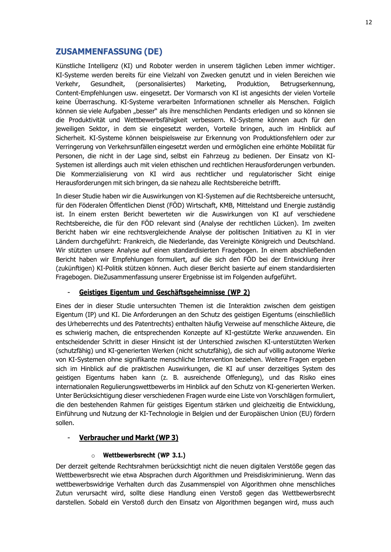# **ZUSAMMENFASSUNG (DE)**

Künstliche Intelligenz (KI) und Roboter werden in unserem täglichen Leben immer wichtiger. KI-Systeme werden bereits für eine Vielzahl von Zwecken genutzt und in vielen Bereichen wie Verkehr, Gesundheit, (personalisiertes) Marketing, Produktion, Betrugserkennung, Content-Empfehlungen usw. eingesetzt. Der Vormarsch von KI ist angesichts der vielen Vorteile keine Überraschung. KI-Systeme verarbeiten Informationen schneller als Menschen. Folglich können sie viele Aufgaben "besser" als ihre menschlichen Pendants erledigen und so können sie die Produktivität und Wettbewerbsfähigkeit verbessern. KI-Systeme können auch für den jeweiligen Sektor, in dem sie eingesetzt werden, Vorteile bringen, auch im Hinblick auf Sicherheit. KI-Systeme können beispielsweise zur Erkennung von Produktionsfehlern oder zur Verringerung von Verkehrsunfällen eingesetzt werden und ermöglichen eine erhöhte Mobilität für Personen, die nicht in der Lage sind, selbst ein Fahrzeug zu bedienen. Der Einsatz von KI-Systemen ist allerdings auch mit vielen ethischen und rechtlichen Herausforderungen verbunden. Die Kommerzialisierung von KI wird aus rechtlicher und regulatorischer Sicht einige Herausforderungen mit sich bringen, da sie nahezu alle Rechtsbereiche betrifft.

In dieser Studie haben wir die Auswirkungen von KI-Systemen auf die Rechtsbereiche untersucht, für den Föderalen Öffentlichen Dienst (FÖD) Wirtschaft, KMB, Mittelstand und Energie zuständig ist. In einem ersten Bericht bewerteten wir die Auswirkungen von KI auf verschiedene Rechtsbereiche, die für den FÖD relevant sind (Analyse der rechtlichen Lücken). Im zweiten Bericht haben wir eine rechtsvergleichende Analyse der politischen Initiativen zu KI in vier Ländern durchgeführt: Frankreich, die Niederlande, das Vereinigte Königreich und Deutschland. Wir stützten unsere Analyse auf einen standardisierten Fragebogen. In einem abschließenden Bericht haben wir Empfehlungen formuliert, auf die sich den FÖD bei der Entwicklung ihrer (zukünftigen) KI-Politik stützen können. Auch dieser Bericht basierte auf einem standardisierten Fragebogen. Die Zusammenfassung unserer Ergebnisse ist im Folgenden aufgeführt.

#### - **Geistiges Eigentum und Geschäftsgeheimnisse (WP 2)**

Eines der in dieser Studie untersuchten Themen ist die Interaktion zwischen dem geistigen Eigentum (IP) und KI. Die Anforderungen an den Schutz des geistigen Eigentums (einschließlich des Urheberrechts und des Patentrechts) enthalten häufig Verweise auf menschliche Akteure, die es schwierig machen, die entsprechenden Konzepte auf KI-gestützte Werke anzuwenden. Ein entscheidender Schritt in dieser Hinsicht ist der Unterschied zwischen KI-unterstützten Werken (schutzfähig) und KI-generierten Werken (nicht schutzfähig), die sich auf völlig autonome Werke von KI-Systemen ohne signifikante menschliche Intervention beziehen. Weitere Fragen ergeben sich im Hinblick auf die praktischen Auswirkungen, die KI auf unser derzeitiges System des geistigen Eigentums haben kann (z. B. ausreichende Offenlegung), und das Risiko eines internationalen Regulierungswettbewerbs im Hinblick auf den Schutz von KI-generierten Werken. Unter Berücksichtigung dieser verschiedenen Fragen wurde eine Liste von Vorschlägen formuliert, die den bestehenden Rahmen für geistiges Eigentum stärken und gleichzeitig die Entwicklung, Einführung und Nutzung der KI-Technologie in Belgien und der Europäischen Union (EU) fördern sollen.

# - **Verbraucher und Markt (WP 3)**

#### o **Wettbewerbsrecht (WP 3.1.)**

Der derzeit geltende Rechtsrahmen berücksichtigt nicht die neuen digitalen Verstöße gegen das Wettbewerbsrecht wie etwa Absprachen durch Algorithmen und Preisdiskriminierung. Wenn das wettbewerbswidrige Verhalten durch das Zusammenspiel von Algorithmen ohne menschliches Zutun verursacht wird, sollte diese Handlung einen Verstoß gegen das Wettbewerbsrecht darstellen. Sobald ein Verstoß durch den Einsatz von Algorithmen begangen wird, muss auch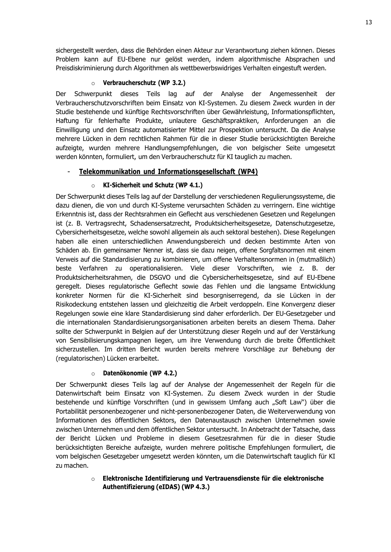sichergestellt werden, dass die Behörden einen Akteur zur Verantwortung ziehen können. Dieses Problem kann auf EU-Ebene nur gelöst werden, indem algorithmische Absprachen und Preisdiskriminierung durch Algorithmen als wettbewerbswidriges Verhalten eingestuft werden.

# o **Verbraucherschutz (WP 3.2.)**

Der Schwerpunkt dieses Teils lag auf der Analyse der Angemessenheit der Verbraucherschutzvorschriften beim Einsatz von KI-Systemen. Zu diesem Zweck wurden in der Studie bestehende und künftige Rechtsvorschriften über Gewährleistung, Informationspflichten, Haftung für fehlerhafte Produkte, unlautere Geschäftspraktiken, Anforderungen an die Einwilligung und den Einsatz automatisierter Mittel zur Prospektion untersucht. Da die Analyse mehrere Lücken in dem rechtlichen Rahmen für die in dieser Studie berücksichtigten Bereiche aufzeigte, wurden mehrere Handlungsempfehlungen, die von belgischer Seite umgesetzt werden könnten, formuliert, um den Verbraucherschutz für KI tauglich zu machen.

# - **Telekommunikation und Informationsgesellschaft (WP4)**

# o **KI-Sicherheit und Schutz (WP 4.1.)**

Der Schwerpunkt dieses Teils lag auf der Darstellung der verschiedenen Regulierungssysteme, die dazu dienen, die von und durch KI-Systeme verursachten Schäden zu verringern. Eine wichtige Erkenntnis ist, dass der Rechtsrahmen ein Geflecht aus verschiedenen Gesetzen und Regelungen ist (z. B. Vertragsrecht, Schadensersatzrecht, Produktsicherheitsgesetze, Datenschutzgesetze, Cybersicherheitsgesetze, welche sowohl allgemein als auch sektoral bestehen). Diese Regelungen haben alle einen unterschiedlichen Anwendungsbereich und decken bestimmte Arten von Schäden ab. Ein gemeinsamer Nenner ist, dass sie dazu neigen, offene Sorgfaltsnormen mit einem Verweis auf die Standardisierung zu kombinieren, um offene Verhaltensnormen in (mutmaßlich) beste Verfahren zu operationalisieren. Viele dieser Vorschriften, wie z. B. der Produktsicherheitsrahmen, die DSGVO und die Cybersicherheitsgesetze, sind auf EU-Ebene geregelt. Dieses regulatorische Geflecht sowie das Fehlen und die langsame Entwicklung konkreter Normen für die KI-Sicherheit sind besorgniserregend, da sie Lücken in der Risikodeckung entstehen lassen und gleichzeitig die Arbeit verdoppeln. Eine Konvergenz dieser Regelungen sowie eine klare Standardisierung sind daher erforderlich. Der EU-Gesetzgeber und die internationalen Standardisierungsorganisationen arbeiten bereits an diesem Thema. Daher sollte der Schwerpunkt in Belgien auf der Unterstützung dieser Regeln und auf der Verstärkung von Sensibilisierungskampagnen liegen, um ihre Verwendung durch die breite Öffentlichkeit sicherzustellen. Im dritten Bericht wurden bereits mehrere Vorschläge zur Behebung der (regulatorischen) Lücken erarbeitet.

#### o **Datenökonomie (WP 4.2.)**

Der Schwerpunkt dieses Teils lag auf der Analyse der Angemessenheit der Regeln für die Datenwirtschaft beim Einsatz von KI-Systemen. Zu diesem Zweck wurden in der Studie bestehende und künftige Vorschriften (und in gewissem Umfang auch "Soft Law") über die Portabilität personenbezogener und nicht-personenbezogener Daten, die Weiterverwendung von Informationen des öffentlichen Sektors, den Datenaustausch zwischen Unternehmen sowie zwischen Unternehmen und dem öffentlichen Sektor untersucht. In Anbetracht der Tatsache, dass der Bericht Lücken und Probleme in diesem Gesetzesrahmen für die in dieser Studie berücksichtigten Bereiche aufzeigte, wurden mehrere politische Empfehlungen formuliert, die vom belgischen Gesetzgeber umgesetzt werden könnten, um die Datenwirtschaft tauglich für KI zu machen.

#### o **Elektronische Identifizierung und Vertrauensdienste für die elektronische Authentifizierung (eIDAS) (WP 4.3.)**